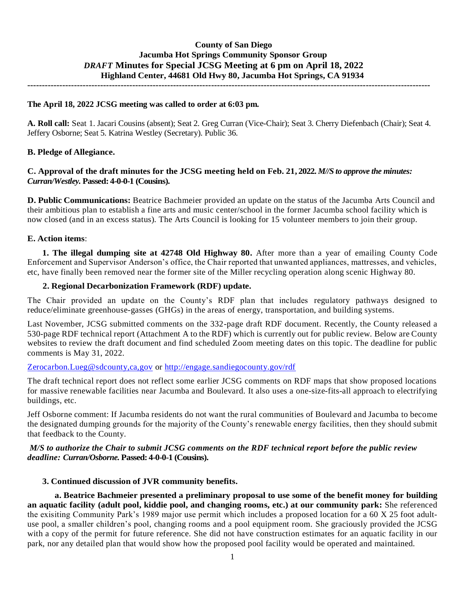# **County of San Diego Jacumba Hot Springs Community Sponsor Group** *DRAFT* **Minutes for Special JCSG Meeting at 6 pm on April 18, 2022 Highland Center, 44681 Old Hwy 80, Jacumba Hot Springs, CA 91934 ------------------------------------------------------------------------------------------------------------------------------------------**

### **The April 18, 2022 JCSG meeting was called to order at 6:03 pm.**

**A. Roll call:** Seat 1. Jacari Cousins (absent); Seat 2. Greg Curran (Vice-Chair); Seat 3. Cherry Diefenbach (Chair); Seat 4. Jeffery Osborne; Seat 5. Katrina Westley (Secretary). Public 36.

## **B. Pledge of Allegiance.**

## **C. Approval of the draft minutes for the JCSG meeting held on Feb. 21, 2022.** *M//S to approve the minutes: Curran/Westley.* **Passed: 4-0-0-1 (Cousins).**

**D. Public Communications:** Beatrice Bachmeier provided an update on the status of the Jacumba Arts Council and their ambitious plan to establish a fine arts and music center/school in the former Jacumba school facility which is now closed (and in an excess status). The Arts Council is looking for 15 volunteer members to join their group.

### **E. Action items**:

**1. The illegal dumping site at 42748 Old Highway 80.** After more than a year of emailing County Code Enforcement and Supervisor Anderson's office, the Chair reported that unwanted appliances, mattresses, and vehicles, etc, have finally been removed near the former site of the Miller recycling operation along scenic Highway 80.

### **2. Regional Decarbonization Framework (RDF) update.**

The Chair provided an update on the County's RDF plan that includes regulatory pathways designed to reduce/eliminate greenhouse-gasses (GHGs) in the areas of energy, transportation, and building systems.

Last November, JCSG submitted comments on the 332-page draft RDF document. Recently, the County released a 530-page RDF technical report (Attachment A to the RDF) which is currently out for public review. Below are County websites to review the draft document and find scheduled Zoom meeting dates on this topic. The deadline for public comments is May 31, 2022.

#### [Zerocarbon.Lueg@sdcounty,ca,gov](mailto:Zerocarbon.Lueg@sdcounty,ca,gov) or<http://engage.sandiegocounty.gov/rdf>

The draft technical report does not reflect some earlier JCSG comments on RDF maps that show proposed locations for massive renewable facilities near Jacumba and Boulevard. It also uses a one-size-fits-all approach to electrifying buildings, etc.

Jeff Osborne comment: If Jacumba residents do not want the rural communities of Boulevard and Jacumba to become the designated dumping grounds for the majority of the County's renewable energy facilities, then they should submit that feedback to the County.

## *M/S to authorize the Chair to submit JCSG comments on the RDF technical report before the public review deadline: Curran/Osborne.* **Passed: 4-0-0-1 (Cousins).**

## **3. Continued discussion of JVR community benefits.**

**a. Beatrice Bachmeier presented a preliminary proposal to use some of the benefit money for building an aquatic facility (adult pool, kiddie pool, and changing rooms, etc.) at our community park:** She referenced the exisiting Community Park's 1989 major use permit which includes a proposed location for a 60 X 25 foot adultuse pool, a smaller children's pool, changing rooms and a pool equipment room. She graciously provided the JCSG with a copy of the permit for future reference. She did not have construction estimates for an aquatic facility in our park, nor any detailed plan that would show how the proposed pool facility would be operated and maintained.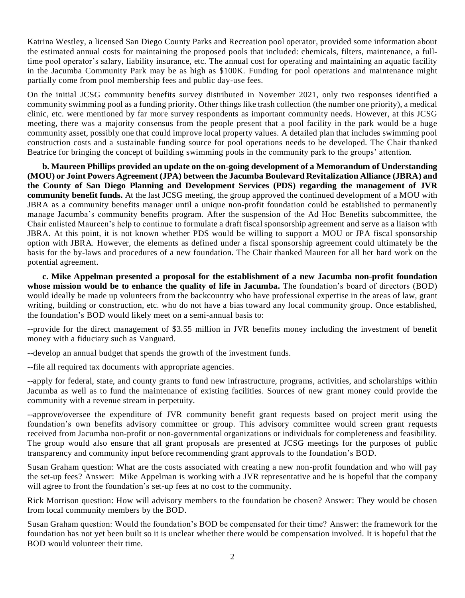Katrina Westley, a licensed San Diego County Parks and Recreation pool operator, provided some information about the estimated annual costs for maintaining the proposed pools that included: chemicals, filters, maintenance, a fulltime pool operator's salary, liability insurance, etc. The annual cost for operating and maintaining an aquatic facility in the Jacumba Community Park may be as high as \$100K. Funding for pool operations and maintenance might partially come from pool membership fees and public day-use fees.

On the initial JCSG community benefits survey distributed in November 2021, only two responses identified a community swimming pool as a funding priority. Other things like trash collection (the number one priority), a medical clinic, etc. were mentioned by far more survey respondents as important community needs. However, at this JCSG meeting, there was a majority consensus from the people present that a pool facility in the park would be a huge community asset, possibly one that could improve local property values. A detailed plan that includes swimming pool construction costs and a sustainable funding source for pool operations needs to be developed. The Chair thanked Beatrice for bringing the concept of building swimming pools in the community park to the groups' attention.

**b. Maureen Phillips provided an update on the on-going development of a Memorandum of Understanding (MOU) or Joint Powers Agreement (JPA) between the Jacumba Boulevard Revitalization Alliance (JBRA) and the County of San Diego Planning and Development Services (PDS) regarding the management of JVR community benefit funds.** At the last JCSG meeting, the group approved the continued development of a MOU with JBRA as a community benefits manager until a unique non-profit foundation could be established to permanently manage Jacumba's community benefits program. After the suspension of the Ad Hoc Benefits subcommittee, the Chair enlisted Maureen's help to continue to formulate a draft fiscal sponsorship agreement and serve as a liaison with JBRA. At this point, it is not known whether PDS would be willing to support a MOU or JPA fiscal sponsorship option with JBRA. However, the elements as defined under a fiscal sponsorship agreement could ultimately be the basis for the by-laws and procedures of a new foundation. The Chair thanked Maureen for all her hard work on the potential agreement.

**c. Mike Appelman presented a proposal for the establishment of a new Jacumba non-profit foundation**  whose mission would be to enhance the quality of life in Jacumba. The foundation's board of directors (BOD) would ideally be made up volunteers from the backcountry who have professional expertise in the areas of law, grant writing, building or construction, etc. who do not have a bias toward any local community group. Once established, the foundation's BOD would likely meet on a semi-annual basis to:

--provide for the direct management of \$3.55 million in JVR benefits money including the investment of benefit money with a fiduciary such as Vanguard.

--develop an annual budget that spends the growth of the investment funds.

--file all required tax documents with appropriate agencies.

--apply for federal, state, and county grants to fund new infrastructure, programs, activities, and scholarships within Jacumba as well as to fund the maintenance of existing facilities. Sources of new grant money could provide the community with a revenue stream in perpetuity.

--approve/oversee the expenditure of JVR community benefit grant requests based on project merit using the foundation's own benefits advisory committee or group. This advisory committee would screen grant requests received from Jacumba non-profit or non-governmental organizations or individuals for completeness and feasibility. The group would also ensure that all grant proposals are presented at JCSG meetings for the purposes of public transparency and community input before recommending grant approvals to the foundation's BOD.

Susan Graham question: What are the costs associated with creating a new non-profit foundation and who will pay the set-up fees? Answer: Mike Appelman is working with a JVR representative and he is hopeful that the company will agree to front the foundation's set-up fees at no cost to the community.

Rick Morrison question: How will advisory members to the foundation be chosen? Answer: They would be chosen from local community members by the BOD.

Susan Graham question: Would the foundation's BOD be compensated for their time? Answer: the framework for the foundation has not yet been built so it is unclear whether there would be compensation involved. It is hopeful that the BOD would volunteer their time.